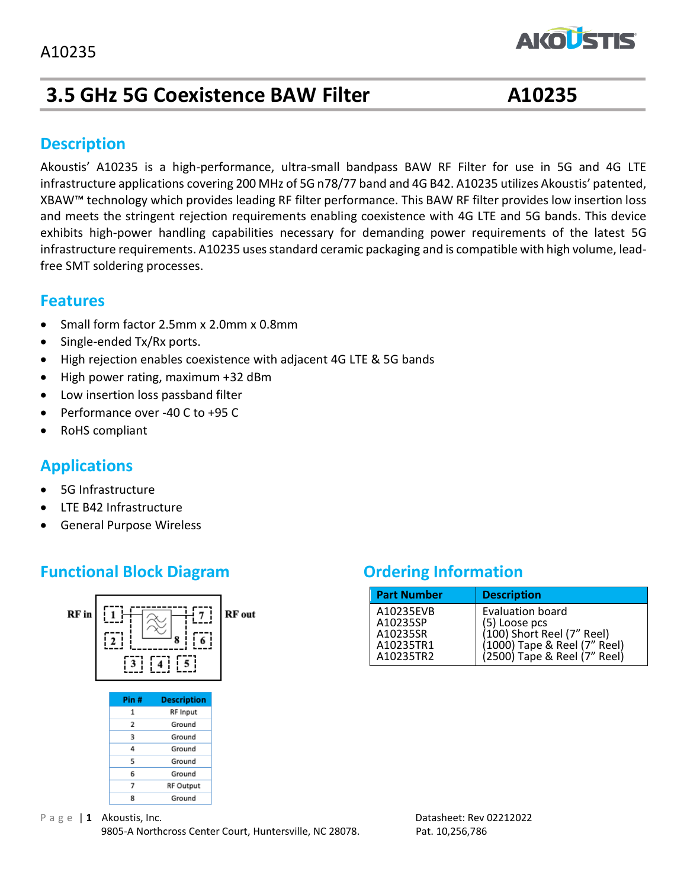# **3.5 GHz 5G Coexistence BAW Filter A10235**

**AKOLSTIS** 

#### **Description**

Akoustis' A10235 is a high-performance, ultra-small bandpass BAW RF Filter for use in 5G and 4G LTE infrastructure applications covering 200 MHz of 5G n78/77 band and 4G B42. A10235 utilizes Akoustis' patented, XBAW™ technology which provides leading RF filter performance. This BAW RF filter provides low insertion loss and meets the stringent rejection requirements enabling coexistence with 4G LTE and 5G bands. This device exhibits high-power handling capabilities necessary for demanding power requirements of the latest 5G infrastructure requirements. A10235 uses standard ceramic packaging and is compatible with high volume, leadfree SMT soldering processes.

#### **Features**

- Small form factor 2.5mm x 2.0mm x 0.8mm
- Single-ended Tx/Rx ports.
- High rejection enables coexistence with adjacent 4G LTE & 5G bands
- High power rating, maximum +32 dBm
- Low insertion loss passband filter
- Performance over -40 C to +95 C
- RoHS compliant

#### **Applications**

- 5G Infrastructure
- LTE B42 Infrastructure
- General Purpose Wireless

### **Functional Block Diagram Diagram Ordering Information**



| <b>Part Number</b>                                          | <b>Description</b>                                                                                                              |
|-------------------------------------------------------------|---------------------------------------------------------------------------------------------------------------------------------|
| A10235EVB<br>A10235SP<br>A10235SR<br>A10235TR1<br>A10235TR2 | Evaluation board<br>(5) Loose pcs<br>(100) Short Reel (7" Reel)<br>(1000) Tape & Reel (7" Reel)<br>(2500) Tape & Reel (7" Reel) |

P a g e | 1 **Akoustis, Inc.** Datasheet: Rev 02212022 9805-A Northcross Center Court, Huntersville, NC 28078. Pat. 10,256,786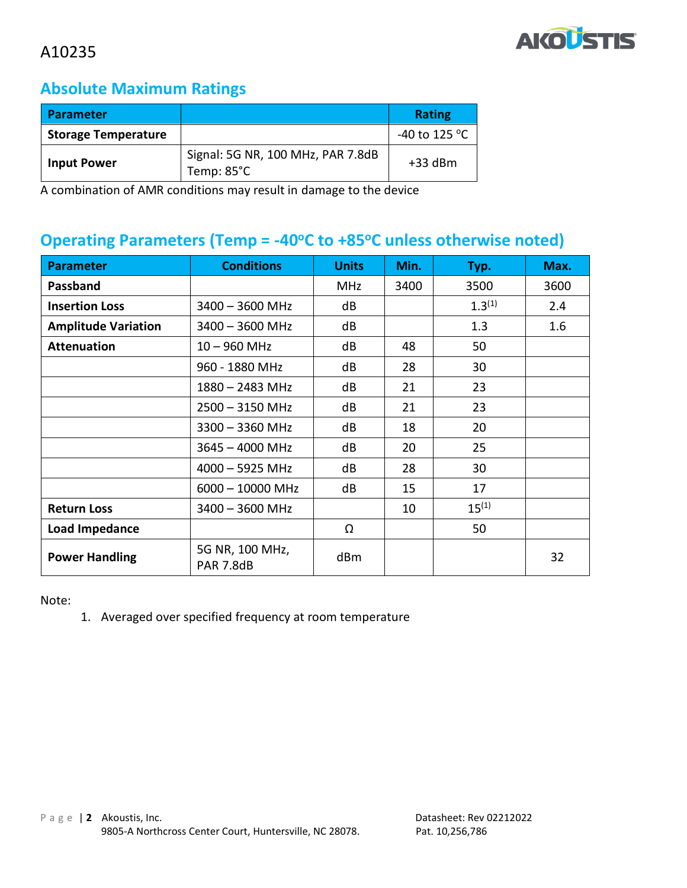

## **Absolute Maximum Ratings**

| <b>Parameter</b>           |                                                 | <b>Rating</b> |
|----------------------------|-------------------------------------------------|---------------|
| <b>Storage Temperature</b> |                                                 | -40 to 125 °C |
| <b>Input Power</b>         | Signal: 5G NR, 100 MHz, PAR 7.8dB<br>Temp: 85°C | $+33$ dBm     |

A combination of AMR conditions may result in damage to the device

### **Operating Parameters (Temp = -40<sup>o</sup>C to +85 <sup>o</sup>C unless otherwise noted)**

| <b>Parameter</b>           | <b>Conditions</b>                   | <b>Units</b> | Min. | Typ.        | Max. |
|----------------------------|-------------------------------------|--------------|------|-------------|------|
| Passband                   |                                     | <b>MHz</b>   | 3400 | 3500        | 3600 |
| <b>Insertion Loss</b>      | $3400 - 3600$ MHz                   | dB           |      | $1.3^{(1)}$ | 2.4  |
| <b>Amplitude Variation</b> | $3400 - 3600$ MHz                   | dB           |      | 1.3         | 1.6  |
| <b>Attenuation</b>         | $10 - 960$ MHz                      | dB           | 48   | 50          |      |
|                            | 960 - 1880 MHz                      | dB           | 28   | 30          |      |
|                            | $1880 - 2483$ MHz                   | dB           | 21   | 23          |      |
|                            | $2500 - 3150$ MHz                   | dB           | 21   | 23          |      |
|                            | $3300 - 3360$ MHz                   | dB           | 18   | 20          |      |
|                            | $3645 - 4000$ MHz                   | dB           | 20   | 25          |      |
|                            | $4000 - 5925$ MHz                   | dB           | 28   | 30          |      |
|                            | $6000 - 10000$ MHz                  | dB           | 15   | 17          |      |
| <b>Return Loss</b>         | $3400 - 3600$ MHz                   |              | 10   | $15^{(1)}$  |      |
| Load Impedance             |                                     | Ω            |      | 50          |      |
| <b>Power Handling</b>      | 5G NR, 100 MHz,<br><b>PAR 7.8dB</b> | dBm          |      |             | 32   |

Note:

1. Averaged over specified frequency at room temperature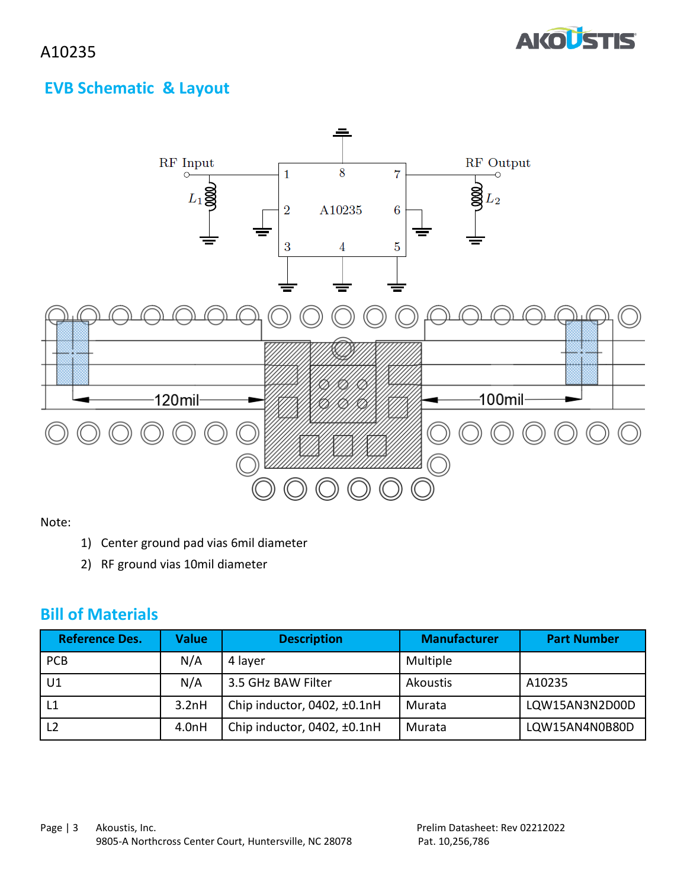

## **EVB Schematic & Layout**



Note:

- 1) Center ground pad vias 6mil diameter
- 2) RF ground vias 10mil diameter

#### **Bill of Materials**

| <b>Reference Des.</b> | <b>Value</b> | <b>Description</b>          | <b>Manufacturer</b> | <b>Part Number</b> |
|-----------------------|--------------|-----------------------------|---------------------|--------------------|
| <b>PCB</b>            | N/A          | 4 layer                     | Multiple            |                    |
| U1                    | N/A          | 3.5 GHz BAW Filter          | Akoustis            | A10235             |
| L1                    | 3.2nH        | Chip inductor, 0402, ±0.1nH | Murata              | LQW15AN3N2D00D     |
| L <sub>2</sub>        | 4.0nH        | Chip inductor, 0402, ±0.1nH | Murata              | LQW15AN4N0B80D     |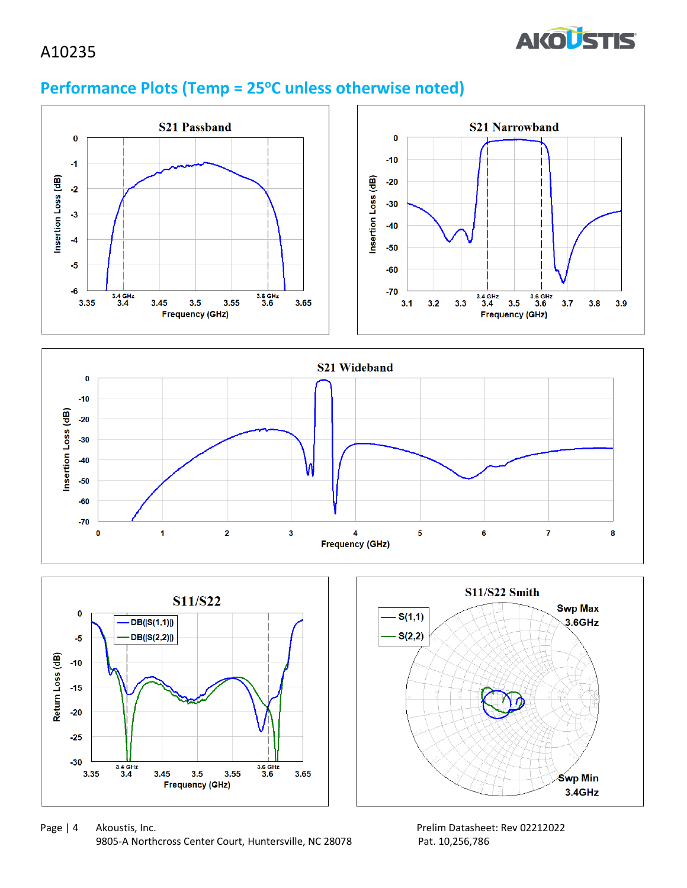

## **Performance Plots (Temp = 25<sup>o</sup>C unless otherwise noted)**









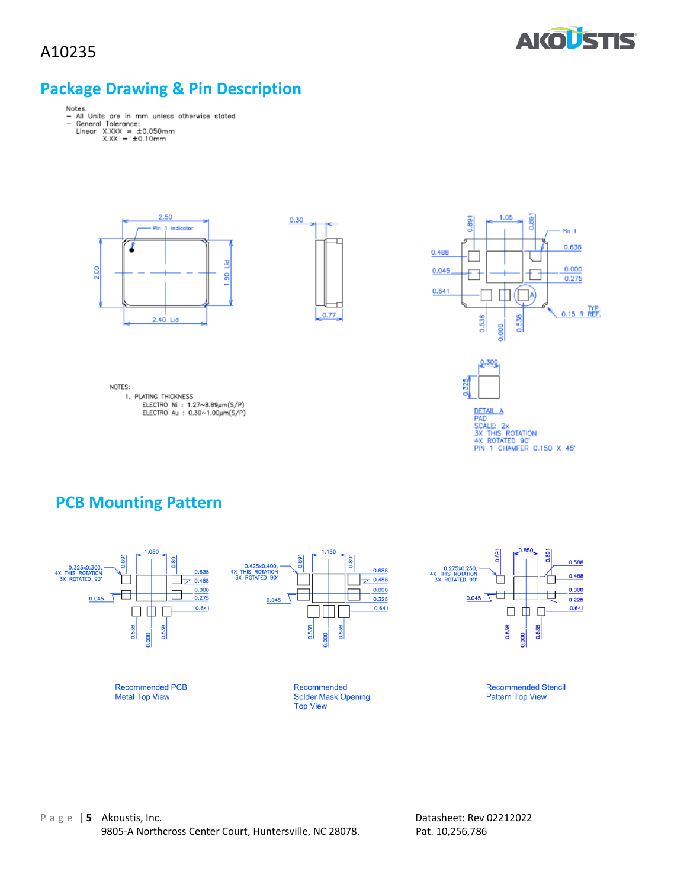

#### **Package Drawing & Pin Description**

- Notes:<br>- All Units are in mm unless otherwise stated<br>- General Tolerance:<br>Linear X.XXX = ±0.10mm<br>X.XX = ±0.10mm
	- -





1.05 0.891 0.891  $Pin<sub>1</sub>$ 0.638  $0.488$  $0.000$ 0.045  $0.275$  $0.641$ ◫  $0.15$  R REF. 0.538 0.538 0.000







DETAIL A<br>PAD<br>SX THIS ROTATION<br>3X THIS ROTATION<br>4X ROTATED 90'<br>PIN 1 CHAMFER 0.150 X 45'

### **PCB Mounting Pattern**

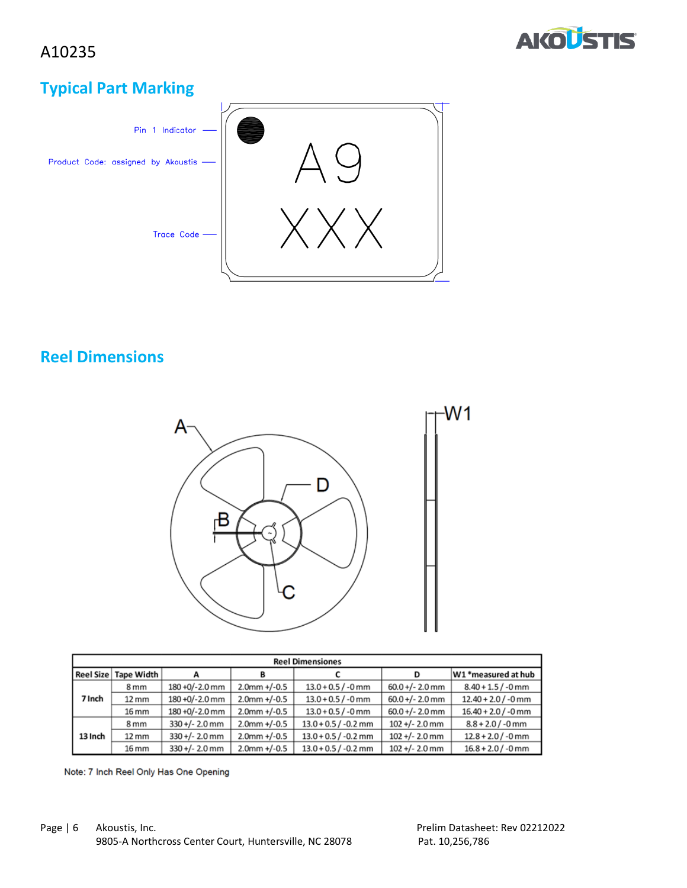

## **Typical Part Marking**



## **Reel Dimensions**



| <b>Reel Dimensiones</b> |                        |                  |                 |                        |                   |                       |
|-------------------------|------------------------|------------------|-----------------|------------------------|-------------------|-----------------------|
|                         | Reel Size   Tape Width |                  |                 |                        | D                 | W1 *measured at hub   |
|                         | 8 <sub>mm</sub>        | 180 +0/-2.0 mm   | $2.0$ mm +/-0.5 | $13.0 + 0.5 / -0$ mm   | $60.0 +/- 2.0$ mm | $8.40 + 1.5 / -0$ mm  |
| 7 Inch                  | 12 mm                  | 180 +0/-2.0 mm   | $2.0$ mm +/-0.5 | $13.0 + 0.5 / -0$ mm   | $60.0 +/- 2.0$ mm | $12.40 + 2.0$ / -0 mm |
|                         | 16 mm                  | 180 +0/-2.0 mm   | $2.0$ mm +/-0.5 | $13.0 + 0.5 / -0$ mm   | $60.0 +/- 2.0$ mm | $16.40 + 2.0$ / -0 mm |
|                         | 8 <sub>mm</sub>        | $330 +/- 2.0$ mm | $2.0$ mm +/-0.5 | $13.0 + 0.5 / -0.2$ mm | $102 +/- 2.0$ mm  | $8.8 + 2.0 / -0$ mm   |
| 13 Inch                 | 12 mm                  | $330 +/- 2.0$ mm | $2.0$ mm +/-0.5 | $13.0 + 0.5 / -0.2$ mm | $102 +/- 2.0$ mm  | $12.8 + 2.0 / -0$ mm  |
|                         | 16 mm                  | $330 +/- 2.0$ mm | $2.0$ mm +/-0.5 | $13.0 + 0.5 / -0.2$ mm | $102 +/- 2.0$ mm  | $16.8 + 2.0 / -0$ mm  |

Note: 7 Inch Reel Only Has One Opening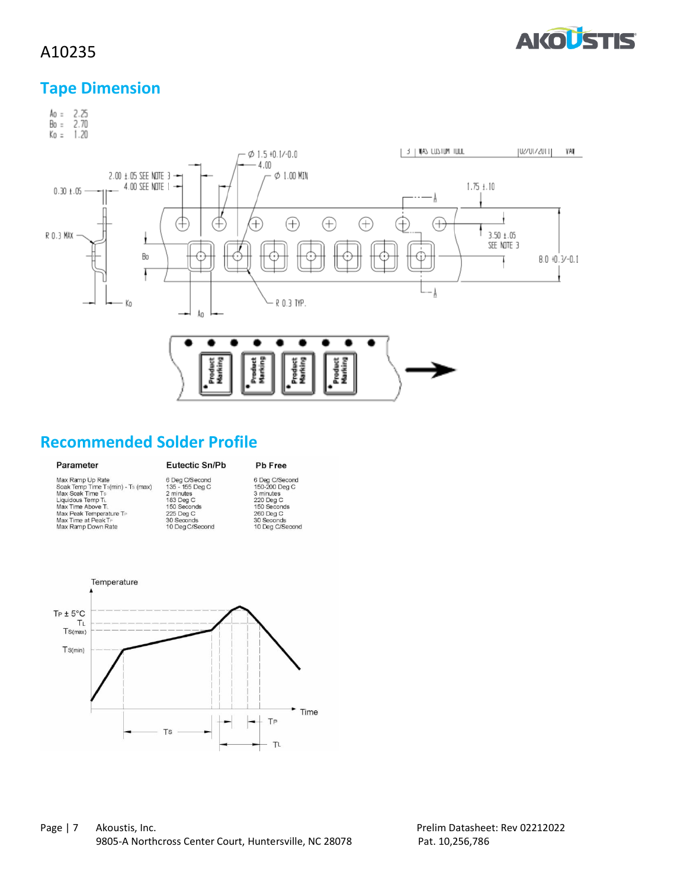

#### **Tape Dimension**



#### **Recommended Solder Profile**

#### Parameter

#### Eutectic Sn/Pb Pb Free

| Max Ramp Up Rate                  |  |
|-----------------------------------|--|
| Soak Temp Time Ts(min) - Ts (max) |  |
| Max Soak Time Ts                  |  |
| Liquidous Temp TL                 |  |
| Max Time Above TL                 |  |
| Max Peak Temperature TP           |  |
| Max Time at Peak TP               |  |
| Max Ramp Down Rate                |  |

|    | 6 Deg C/Second  |
|----|-----------------|
| X) | 135 - 155 Deg C |
|    | 2 minutes       |
|    | 183 Deg C       |
|    | 150 Seconds     |
|    | 225 Deg C       |
|    | 30 Seconds      |
|    | 10 Deg C/Second |
|    |                 |

6 Deg C/Secord<br>150-200 Deg C<br>3 minutes<br>220 Deg C<br>150 Secords<br>260 Deg C<br>30 Secords<br>10 Deg C/Secord